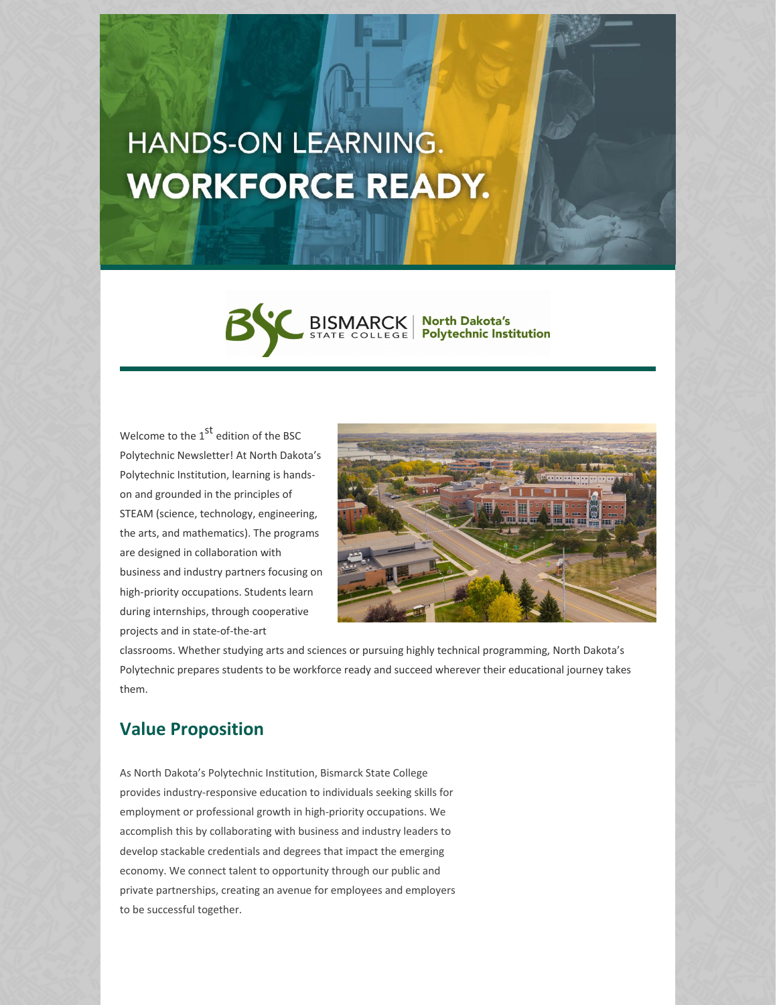# HANDS-ON LEARNING. **WORKFORCE READY.**



Welcome to the  $1^\text{st}$  edition of the BSC Polytechnic Newsletter! At North Dakota's Polytechnic Institution, learning is handson and grounded in the principles of STEAM (science, technology, engineering, the arts, and mathematics). The programs are designed in collaboration with business and industry partners focusing on high-priority occupations. Students learn during internships, through cooperative projects and in state-of-the-art



classrooms. Whether studying arts and sciences or pursuing highly technical programming, North Dakota's Polytechnic prepares students to be workforce ready and succeed wherever their educational journey takes them.

#### **Value Proposition**

As North Dakota's Polytechnic Institution, Bismarck State College provides industry-responsive education to individuals seeking skills for employment or professional growth in high-priority occupations. We accomplish this by collaborating with business and industry leaders to develop stackable credentials and degrees that impact the emerging economy. We connect talent to opportunity through our public and private partnerships, creating an avenue for employees and employers to be successful together.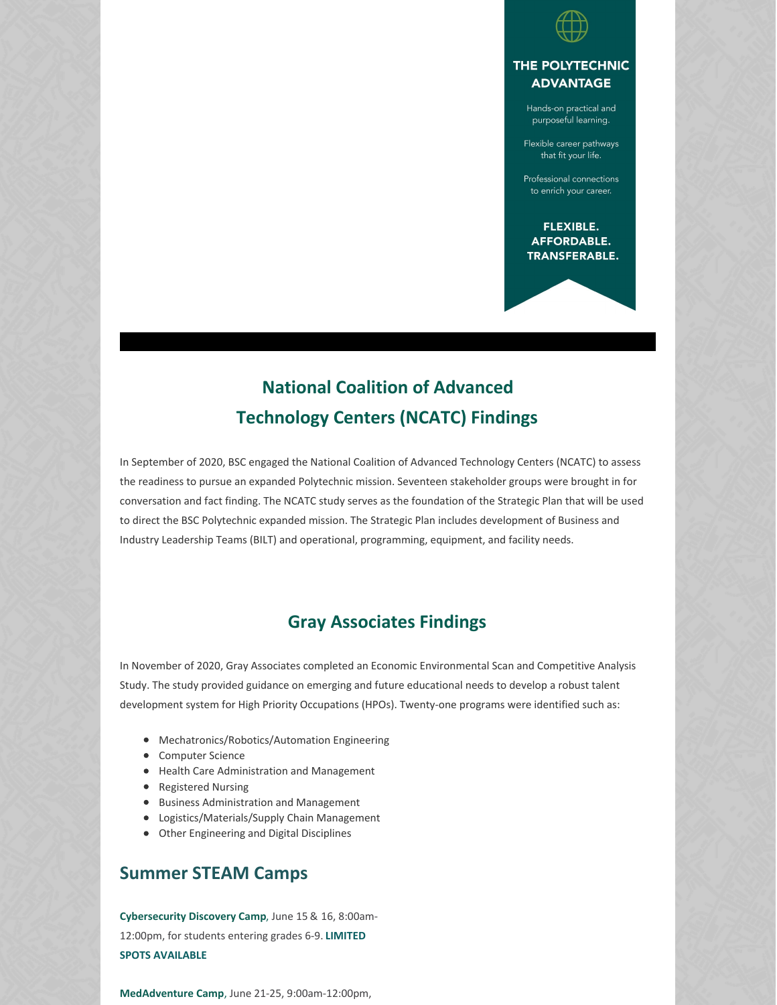

#### THE POLYTECHNIC **ADVANTAGE**

Hands-on practical and purposeful learning.

Flexible career pathways that fit your life.

Professional connections to enrich your career.

FLEXIBLE. **AFFORDABLE. TRANSFERABLE.** 

## **National Coalition of Advanced Technology Centers (NCATC) Findings**

In September of 2020, BSC engaged the National Coalition of Advanced Technology Centers (NCATC) to assess the readiness to pursue an expanded Polytechnic mission. Seventeen stakeholder groups were brought in for conversation and fact finding. The NCATC study serves as the foundation of the Strategic Plan that will be used to direct the BSC Polytechnic expanded mission. The Strategic Plan includes development of Business and Industry Leadership Teams (BILT) and operational, programming, equipment, and facility needs.

### **Gray Associates Findings**

In November of 2020, Gray Associates completed an Economic Environmental Scan and Competitive Analysis Study. The study provided guidance on emerging and future educational needs to develop a robust talent development system for High Priority Occupations (HPOs). Twenty-one programs were identified such as:

- Mechatronics/Robotics/Automation Engineering
- Computer Science
- Health Care Administration and Management
- Registered Nursing
- **•** Business Administration and Management
- Logistics/Materials/Supply Chain Management
- Other Engineering and Digital Disciplines

#### **Summer STEAM Camps**

**[Cybersecurity](https://bsc.augusoft.net/index.cfm?method=ClassInfo.ClassInformation&int_class_id=29747&int_category_id=6&int_sub_category_id=145&int_catalog_id=0) Discovery Camp**, June 15 & 16, 8:00am-12:00pm, for students entering grades 6-9. **LIMITED SPOTS AVAILABLE**

**[MedAdventure](https://bsc.augusoft.net/index.cfm?method=ClassInfo.ClassInformation&int_class_id=29749&int_category_id=6&int_sub_category_id=145&int_catalog_id=0) Camp**, June 21-25, 9:00am-12:00pm,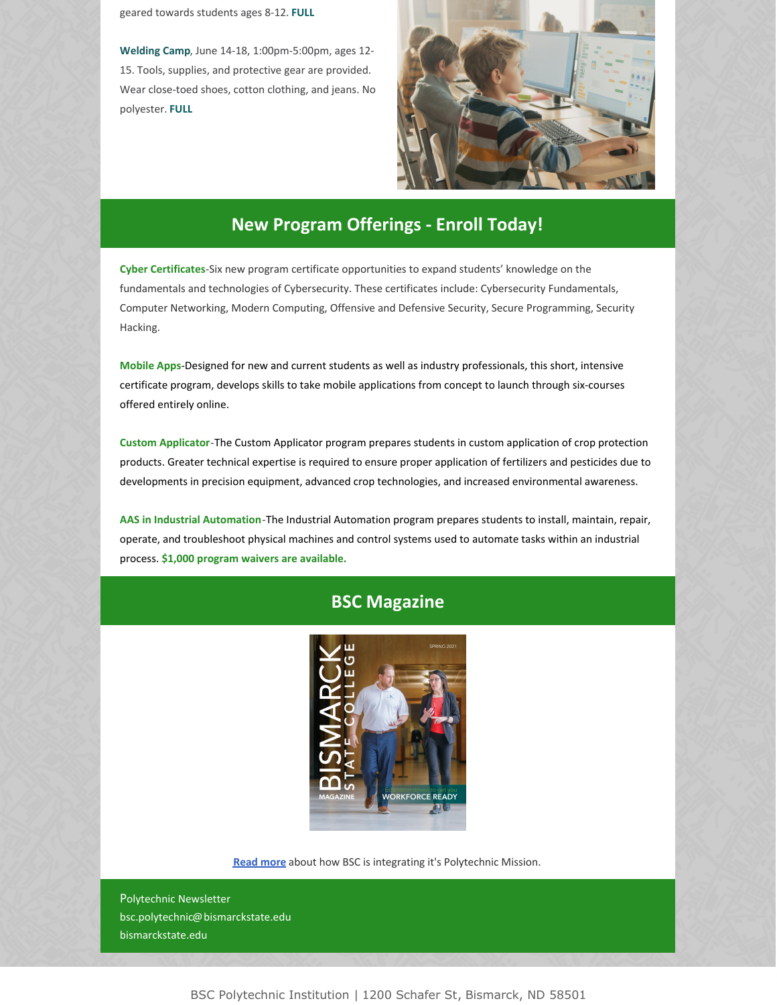geared towards students ages 8-12. **FULL**

**[Welding](https://bsc.augusoft.net/index.cfm?method=ClassInfo.ClassInformation&int_class_id=29750&int_category_id=6&int_sub_category_id=145&int_catalog_id=0) Camp**, June 14-18, 1:00pm-5:00pm, ages 12- 15. Tools, supplies, and protective gear are provided. Wear close-toed shoes, cotton clothing, and jeans. No polyester. **FULL**



#### **New Program Offerings - Enroll Today!**

**Cyber [Certificates](https://bismarckstate.edu/cybersecurity/AcademicOptions/)**-Six new program certificate opportunities to expand students' knowledge on the fundamentals and technologies of Cybersecurity. These certificates include: Cybersecurity Fundamentals, Computer Networking, Modern Computing, Offensive and Defensive Security, Secure Programming, Security Hacking.

**[Mobile](https://bismarckstate.edu/academics/programs/Mobile Application Development/) Apps**-Designed for new and current students as well as industry professionals, this short, intensive certificate program, develops skills to take mobile applications from concept to launch through six-courses offered entirely online.

**Custom [Applicator](https://bismarckstate.edu/academics/programs/Custom Applicator/)**-The Custom Applicator program prepares students in custom application of crop protection products. Greater technical expertise is required to ensure proper application of fertilizers and pesticides due to developments in precision equipment, advanced crop technologies, and increased environmental awareness.

**AAS in Industrial [Automation](https://bismarckstate.edu/academics/programs/Industrial Automation/)**-The Industrial Automation program prepares students to install, maintain, repair, operate, and troubleshoot physical machines and control systems used to automate tasks within an industrial process. **\$1,000 program waivers are available.**

#### **BSC Magazine**



**Read [more](https://bismarckstate.edu/news/BSCMagazine/)** about how BSC is integrating it's Polytechnic Mission.

Polytechnic Newsletter bsc.polytechnic@bismarckstate.edu bismarckstate.edu